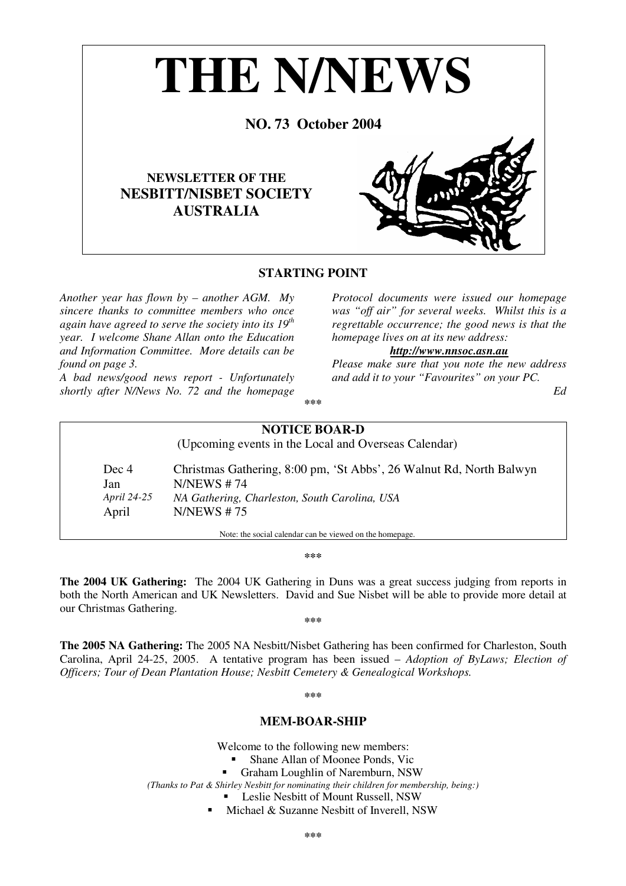

## **STARTING POINT**

*Another year has flown by – another AGM. My sincere thanks to committee members who once again have agreed to serve the society into its 19 th year. I welcome Shane Allan onto the Education and Information Committee. More details can be found on page 3.*

*A bad news/good news report - Unfortunately shortly after N/News No. 72 and the homepage* *Protocol documents were issued our homepage was "off air" for several weeks. Whilst this is a regrettable occurrence; the good news is that the homepage lives on at its new address:*

## *http://www.nnsoc.asn.au*

*Please make sure that you note the new address and add it to your "Favourites" on your PC.*

*Ed*

**\*\*\***

## **NOTICE BOAR-D** (Upcoming events in the Local and Overseas Calendar) Dec 4 Christmas Gathering, 8:00 pm, 'St Abbs', 26 Walnut Rd, North Balwyn Jan N/NEWS # 74 *April 24-25 NA Gathering, Charleston, South Carolina, USA* April N/NEWS # 75 Note: the social calendar can be viewed on the homepage.

**\*\*\***

**The 2004 UK Gathering:** The 2004 UK Gathering in Duns was a great success judging from reports in both the North American and UK Newsletters. David and Sue Nisbet will be able to provide more detail at our Christmas Gathering.

**\*\*\***

**The 2005 NA Gathering:** The 2005 NA Nesbitt/Nisbet Gathering has been confirmed for Charleston, South Carolina, April 24-25, 2005. A tentative program has been issued – *Adoption of ByLaws; Election of Officers; Tour of Dean Plantation House; Nesbitt Cemetery & Genealogical Workshops.*

**\*\*\***

## **MEM-BOAR-SHIP**

Welcome to the following new members:

- Shane Allan of Moonee Ponds, Vic
- Graham Loughlin of Naremburn, NSW

*(Thanks to Pat & Shirley Nesbitt for nominating their children for membership, being:)*

- **Leslie Nesbitt of Mount Russell, NSW**
- **Michael & Suzanne Nesbitt of Inverell, NSW**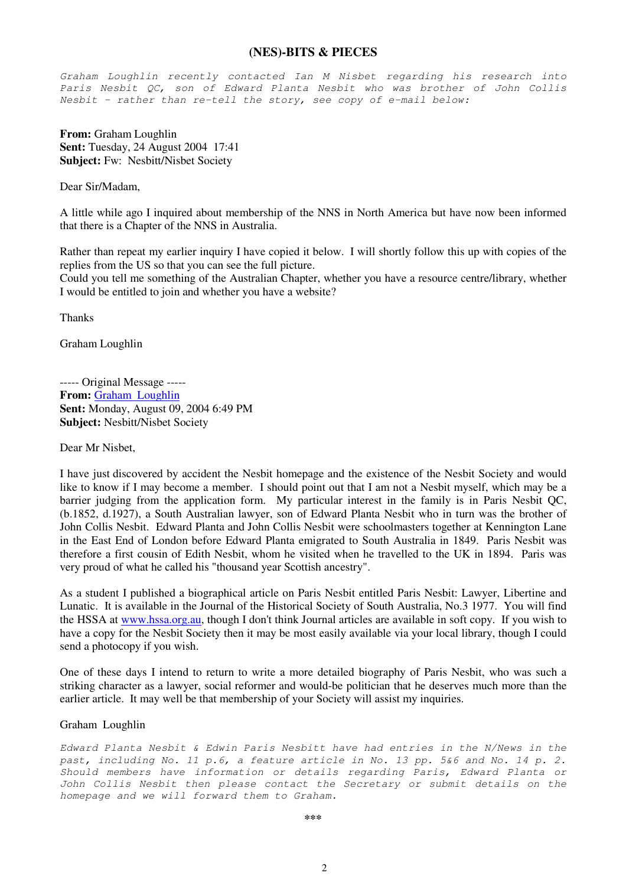## **(NES)-BITS & PIECES**

*Graham Loughlin recently contacted Ian M Nisbet regarding his research into Paris Nesbit QC, son of Edward Planta Nesbit who was brother of John Collis Nesbit – rather than re-tell the story, see copy of e-mail below:*

**From:** Graham Loughlin **Sent:** Tuesday, 24 August 2004 17:41 **Subject:** Fw: Nesbitt/Nisbet Society

Dear Sir/Madam,

A little while ago I inquired about membership of the NNS in North America but have now been informed that there is a Chapter of the NNS in Australia.

Rather than repeat my earlier inquiry I have copied it below. I will shortly follow this up with copies of the replies from the US so that you can see the full picture.

Could you tell me something of the Australian Chapter, whether you have a resource centre/library, whether I would be entitled to join and whether you have a website?

Thanks

Graham Loughlin

----- Original Message ----- **From:** Graham Loughlin **Sent:** Monday, August 09, 2004 6:49 PM **Subject:** Nesbitt/Nisbet Society

Dear Mr Nisbet,

I have just discovered by accident the Nesbit homepage and the existence of the Nesbit Society and would like to know if I may become a member. I should point out that I am not a Nesbit myself, which may be a barrier judging from the application form. My particular interest in the family is in Paris Nesbit QC, (b.1852, d.1927), a South Australian lawyer, son of Edward Planta Nesbit who in turn was the brother of John Collis Nesbit. Edward Planta and John Collis Nesbit were schoolmasters together at Kennington Lane in the East End of London before Edward Planta emigrated to South Australia in 1849. Paris Nesbit was therefore a first cousin of Edith Nesbit, whom he visited when he travelled to the UK in 1894. Paris was very proud of what he called his "thousand year Scottish ancestry".

As a student I published a biographical article on Paris Nesbit entitled Paris Nesbit: Lawyer, Libertine and Lunatic. It is available in the Journal of the Historical Society of South Australia, No.3 1977. You will find the HSSA at www.hssa.org.au, though I don't think Journal articles are available in soft copy. If you wish to have a copy for the Nesbit Society then it may be most easily available via your local library, though I could send a photocopy if you wish.

One of these days I intend to return to write a more detailed biography of Paris Nesbit, who was such a striking character as a lawyer, social reformer and would-be politician that he deserves much more than the earlier article. It may well be that membership of your Society will assist my inquiries.

## Graham Loughlin

*Edward Planta Nesbit & Edwin Paris Nesbitt have had entries in the N/News in the past, including No. 11 p.6, a feature article in No. 13 pp. 5&6 and No. 14 p. 2. Should members have information or details regarding Paris, Edward Planta or John Collis Nesbit then please contact the Secretary or submit details on the homepage and we will forward them to Graham.*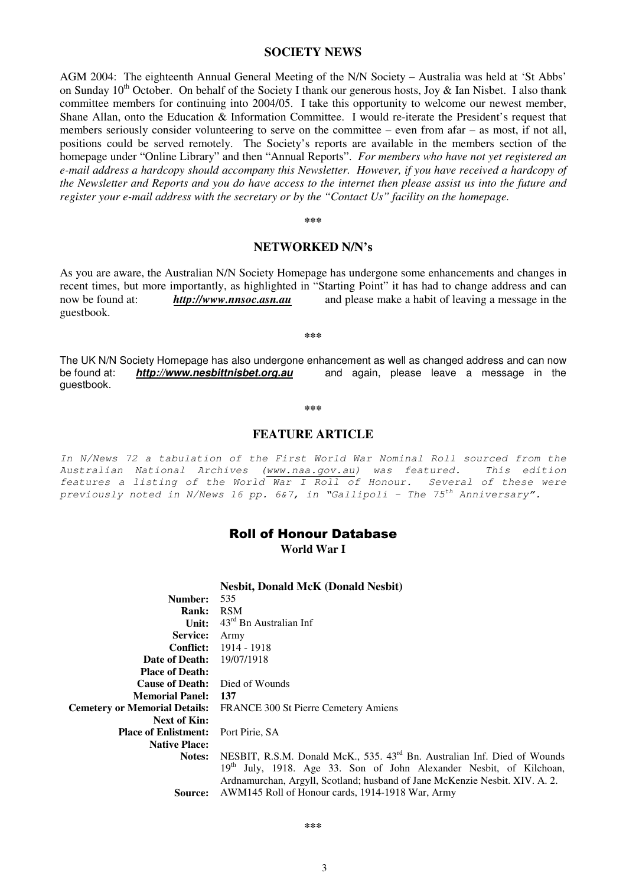## **SOCIETY NEWS**

AGM 2004: The eighteenth Annual General Meeting of the N/N Society – Australia was held at 'St Abbs' on Sunday 10<sup>th</sup> October. On behalf of the Society I thank our generous hosts, Joy & Ian Nisbet. I also thank committee members for continuing into 2004/05. I take this opportunity to welcome our newest member, Shane Allan, onto the Education & Information Committee. I would re-iterate the President's request that members seriously consider volunteering to serve on the committee – even from afar – as most, if not all, positions could be served remotely. The Society's reports are available in the members section of the homepage under "Online Library" and then "Annual Reports". *For members who have not yet registered an e-mail address a hardcopy should accompany this Newsletter. However, if you have received a hardcopy of* the Newsletter and Reports and you do have access to the internet then please assist us into the future and *register your e-mail address with the secretary or by the "Contact Us" facility on the homepage.*

**\*\*\***

## **NETWORKED N/N's**

As you are aware, the Australian N/N Society Homepage has undergone some enhancements and changes in recent times, but more importantly, as highlighted in "Starting Point" it has had to change address and can now be found at: *http://www.nnsoc.asn.au* and please make a habit of leaving a message in the guestbook.

**\*\*\***

The UK N/N Society Homepage has also undergone enhancement as well as changed address and can now be found at: *http://www.nesbittnisbet.org.au* and again, please leave a message in the guestbook.

**\*\*\***

## **FEATURE ARTICLE**

*In N/News 72 a tabulation of the First World War Nominal Roll sourced from the Australian National Archives (www.naa.gov.au) was featured. This edition features a listing of the World War I Roll of Honour. Several of these were previously noted in N/News 16 pp. 6&7, in "Gallipoli – The 75 th Anniversary".*

## **Roll of Honour Database World War I**

|                             | <b>Nesbit, Donald McK (Donald Nesbit)</b>                                            |
|-----------------------------|--------------------------------------------------------------------------------------|
| Number:                     | 535                                                                                  |
| <b>Rank:</b>                | <b>RSM</b>                                                                           |
| Unit:                       | $43^{\text{rd}}$ Bn Australian Inf                                                   |
| Service:                    | Army                                                                                 |
| <b>Conflict:</b>            | 1914 - 1918                                                                          |
| Date of Death:              | 19/07/1918                                                                           |
| <b>Place of Death:</b>      |                                                                                      |
| <b>Cause of Death:</b>      | Died of Wounds                                                                       |
| <b>Memorial Panel:</b>      | 137                                                                                  |
|                             | Cemetery or Memorial Details: FRANCE 300 St Pierre Cemetery Amiens                   |
| Next of Kin:                |                                                                                      |
| <b>Place of Enlistment:</b> | Port Pirie, SA                                                                       |
| <b>Native Place:</b>        |                                                                                      |
| Notes:                      | NESBIT, R.S.M. Donald McK., 535. 43 <sup>rd</sup> Bn. Australian Inf. Died of Wounds |
|                             | 19 <sup>th</sup> July, 1918. Age 33. Son of John Alexander Nesbit, of Kilchoan,      |
|                             | Ardnamurchan, Argyll, Scotland; husband of Jane McKenzie Nesbit. XIV. A. 2.          |
| Source:                     | AWM145 Roll of Honour cards, 1914-1918 War, Army                                     |

3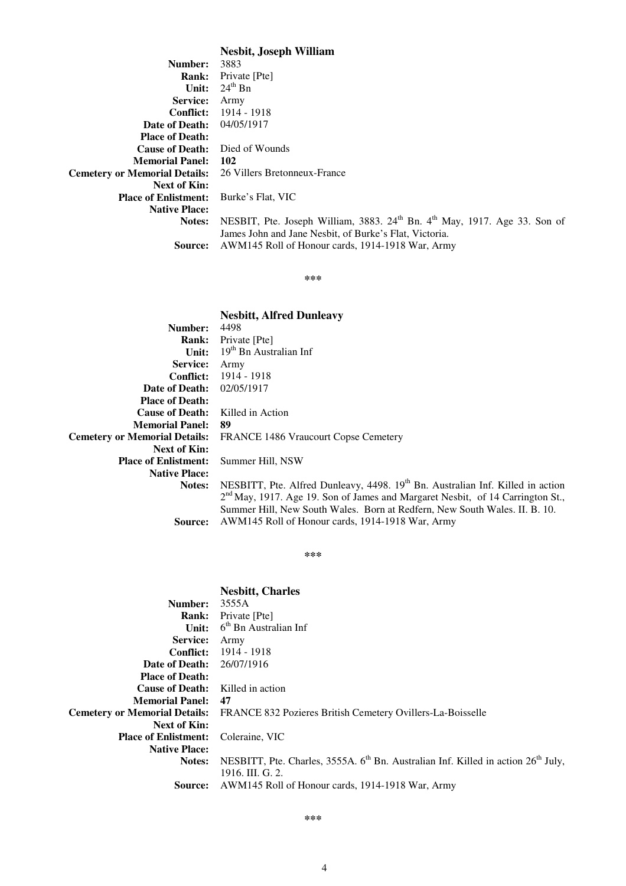**Nesbit, Joseph William**

| Number:                                                    | 3883                                                                                              |
|------------------------------------------------------------|---------------------------------------------------------------------------------------------------|
| <b>Rank:</b>                                               | Private [Pte]                                                                                     |
| Unit:                                                      | $24^{th}$ Bn                                                                                      |
| <b>Service:</b>                                            | Army                                                                                              |
| Conflict:                                                  | 1914 - 1918                                                                                       |
| Date of Death:                                             | 04/05/1917                                                                                        |
| <b>Place of Death:</b>                                     |                                                                                                   |
| <b>Cause of Death:</b>                                     | Died of Wounds                                                                                    |
| <b>Memorial Panel: 102</b>                                 |                                                                                                   |
| Cemetery or Memorial Details: 26 Villers Bretonneux-France |                                                                                                   |
| <b>Next of Kin:</b>                                        |                                                                                                   |
| <b>Place of Enlistment:</b>                                | Burke's Flat, VIC                                                                                 |
| <b>Native Place:</b>                                       |                                                                                                   |
| Notes:                                                     | NESBIT, Pte. Joseph William, 3883. 24 <sup>th</sup> Bn. 4 <sup>th</sup> May, 1917. Age 33. Son of |
|                                                            | James John and Jane Nesbit, of Burke's Flat, Victoria.                                            |
| <b>Source:</b>                                             | AWM145 Roll of Honour cards, 1914-1918 War, Army                                                  |
|                                                            |                                                                                                   |

**\*\*\***

## **Nesbitt, Alfred Dunleavy**

| Number:                              | 4498                                                                                       |
|--------------------------------------|--------------------------------------------------------------------------------------------|
| <b>Rank:</b>                         | Private [Pte]                                                                              |
| Unit:                                | 19 <sup>th</sup> Bn Australian Inf                                                         |
| <b>Service:</b>                      | Army                                                                                       |
| <b>Conflict:</b>                     | 1914 - 1918                                                                                |
| Date of Death:                       | 02/05/1917                                                                                 |
| <b>Place of Death:</b>               |                                                                                            |
| <b>Cause of Death:</b>               | Killed in Action                                                                           |
| <b>Memorial Panel:</b>               | -89                                                                                        |
| <b>Cemetery or Memorial Details:</b> | <b>FRANCE 1486 Vraucourt Copse Cemetery</b>                                                |
| <b>Next of Kin:</b>                  |                                                                                            |
| <b>Place of Enlistment:</b>          | Summer Hill, NSW                                                                           |
| <b>Native Place:</b>                 |                                                                                            |
| Notes:                               | NESBITT, Pte. Alfred Dunleavy, 4498. 19 <sup>th</sup> Bn. Australian Inf. Killed in action |
|                                      | 2 <sup>nd</sup> May, 1917. Age 19. Son of James and Margaret Nesbit, of 14 Carrington St., |
|                                      | Summer Hill, New South Wales. Born at Redfern, New South Wales. II. B. 10.                 |
| Source:                              | AWM145 Roll of Honour cards, 1914-1918 War, Army                                           |

**\*\*\***

## **Nesbitt, Charles Number:** 3555A **Rank:** Private [Pte] **Unit:** 6<sup>th</sup> Bn Australian Inf **Service:** Army **Conflict:** 1914 - 1918 **Date of Death:** 26/07/1916 **Place of Death: Cause of Death:** Killed in action **Memorial Panel: 47 Cemetery or Memorial Details:** FRANCE 832 Pozieres British Cemetery Ovillers-La-Boisselle **Next of Kin: Place of Enlistment:** Coleraine, VIC **Native Place:** Notes: NESBITT, Pte. Charles, 3555A. 6<sup>th</sup> Bn. Australian Inf. Killed in action 26<sup>th</sup> July, 1916. III. G. 2. **Source:** AWM145 Roll of Honour cards, 1914-1918 War, Army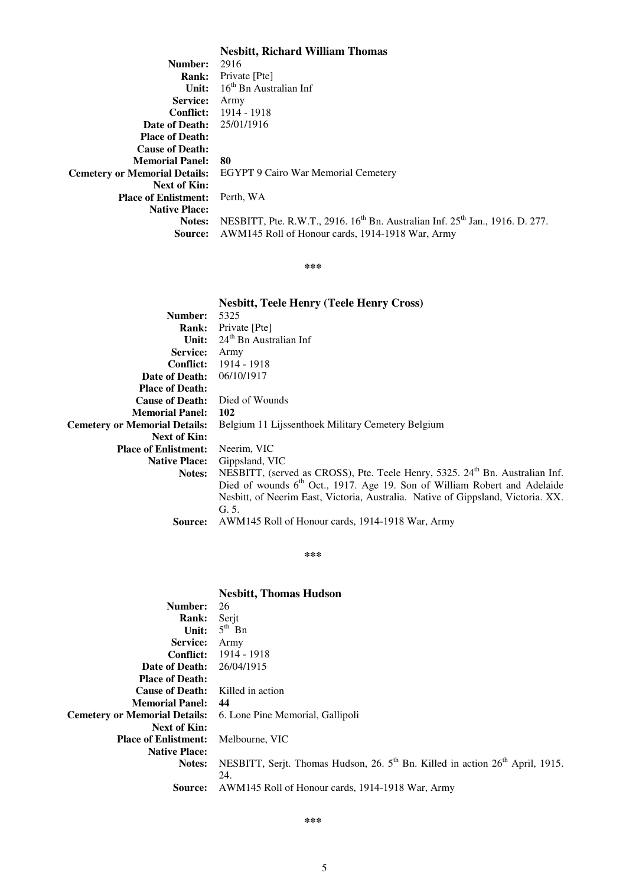## **Nesbitt, Richard William Thomas**

| Number:                          | 2916                                                                                                  |
|----------------------------------|-------------------------------------------------------------------------------------------------------|
| <b>Rank:</b>                     | Private [Pte]                                                                                         |
| Unit:                            | $16th$ Bn Australian Inf                                                                              |
| <b>Service:</b>                  | Army                                                                                                  |
|                                  | <b>Conflict:</b> 1914 - 1918                                                                          |
| <b>Date of Death:</b> 25/01/1916 |                                                                                                       |
| <b>Place of Death:</b>           |                                                                                                       |
| <b>Cause of Death:</b>           |                                                                                                       |
| <b>Memorial Panel:</b>           | 80                                                                                                    |
|                                  | Cemetery or Memorial Details: EGYPT 9 Cairo War Memorial Cemetery                                     |
| Next of Kin:                     |                                                                                                       |
| <b>Place of Enlistment:</b>      | Perth, WA                                                                                             |
| <b>Native Place:</b>             |                                                                                                       |
| Notes:                           | NESBITT, Pte. R.W.T., 2916. 16 <sup>th</sup> Bn. Australian Inf. 25 <sup>th</sup> Jan., 1916. D. 277. |
| Source:                          | AWM145 Roll of Honour cards, 1914-1918 War, Army                                                      |

**\*\*\***

|                                      | <b>Nesbitt, Teele Henry (Teele Henry Cross)</b>                                          |
|--------------------------------------|------------------------------------------------------------------------------------------|
| Number:                              | 5325                                                                                     |
| <b>Rank:</b>                         | Private [Pte]                                                                            |
| Unit:                                | $24th$ Bn Australian Inf                                                                 |
| <b>Service:</b>                      | Army                                                                                     |
| <b>Conflict:</b>                     | 1914 - 1918                                                                              |
| Date of Death:                       | 06/10/1917                                                                               |
| <b>Place of Death:</b>               |                                                                                          |
| <b>Cause of Death:</b>               | Died of Wounds                                                                           |
| <b>Memorial Panel:</b>               | 102                                                                                      |
| <b>Cemetery or Memorial Details:</b> | Belgium 11 Lijssenthoek Military Cemetery Belgium                                        |
| <b>Next of Kin:</b>                  |                                                                                          |
| <b>Place of Enlistment:</b>          | Neerim, VIC                                                                              |
| <b>Native Place:</b>                 | Gippsland, VIC                                                                           |
| Notes:                               | NESBITT, (served as CROSS), Pte. Teele Henry, 5325. 24 <sup>th</sup> Bn. Australian Inf. |
|                                      | Died of wounds 6 <sup>th</sup> Oct., 1917. Age 19. Son of William Robert and Adelaide    |
|                                      | Nesbitt, of Neerim East, Victoria, Australia. Native of Gippsland, Victoria. XX.         |
|                                      | G. 5.                                                                                    |
| Source:                              | AWM145 Roll of Honour cards, 1914-1918 War, Army                                         |

**\*\*\***

|                                      | <b>Nesbitt, Thomas Hudson</b>                                                                         |
|--------------------------------------|-------------------------------------------------------------------------------------------------------|
| Number:                              | 26                                                                                                    |
| <b>Rank:</b>                         | Serjt                                                                                                 |
| Unit:                                | $5^{\text{th}}$ Bn                                                                                    |
| <b>Service:</b>                      | Army                                                                                                  |
| <b>Conflict:</b>                     | 1914 - 1918                                                                                           |
| Date of Death:                       | 26/04/1915                                                                                            |
| <b>Place of Death:</b>               |                                                                                                       |
| <b>Cause of Death:</b>               | Killed in action                                                                                      |
| <b>Memorial Panel:</b>               | 44                                                                                                    |
| <b>Cemetery or Memorial Details:</b> | 6. Lone Pine Memorial, Gallipoli                                                                      |
| <b>Next of Kin:</b>                  |                                                                                                       |
| <b>Place of Enlistment:</b>          | Melbourne, VIC                                                                                        |
| <b>Native Place:</b>                 |                                                                                                       |
| Notes:                               | NESBITT, Serjt. Thomas Hudson, 26. 5 <sup>th</sup> Bn. Killed in action 26 <sup>th</sup> April, 1915. |
|                                      | 24.                                                                                                   |
| Source:                              | AWM145 Roll of Honour cards, 1914-1918 War, Army                                                      |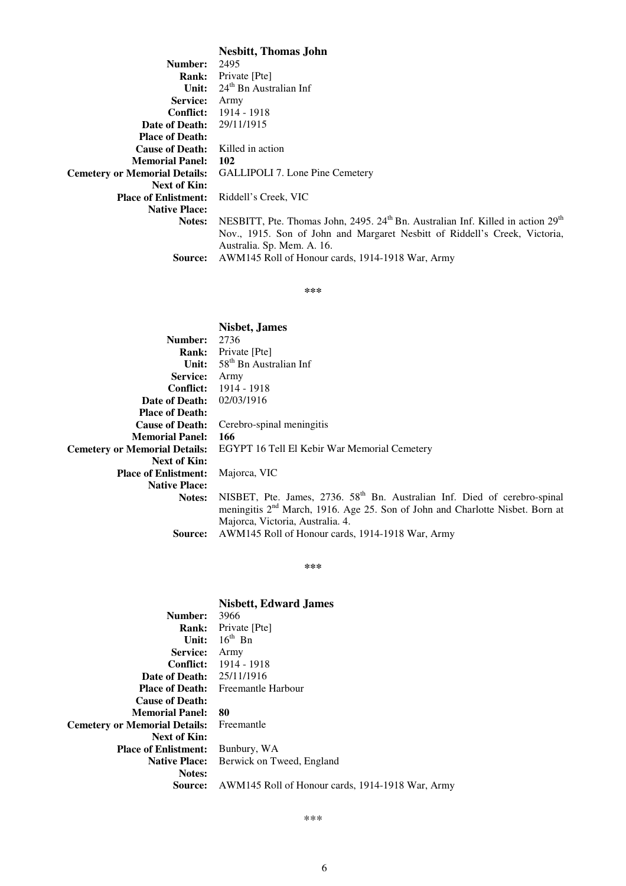**Nesbitt, Thomas John**

| Number:                                 | 2495                                                                                                    |
|-----------------------------------------|---------------------------------------------------------------------------------------------------------|
|                                         | <b>Rank:</b> Private [Pte]                                                                              |
| Unit:                                   | $24th$ Bn Australian Inf                                                                                |
| Service:                                | Army                                                                                                    |
| <b>Conflict:</b>                        | 1914 - 1918                                                                                             |
| <b>Date of Death:</b> 29/11/1915        |                                                                                                         |
| <b>Place of Death:</b>                  |                                                                                                         |
| <b>Cause of Death:</b> Killed in action |                                                                                                         |
| <b>Memorial Panel:</b>                  | 102                                                                                                     |
|                                         | Cemetery or Memorial Details: GALLIPOLI 7. Lone Pine Cemetery                                           |
| Next of Kin:                            |                                                                                                         |
| <b>Place of Enlistment:</b>             | Riddell's Creek, VIC                                                                                    |
| <b>Native Place:</b>                    |                                                                                                         |
| Notes:                                  | NESBITT, Pte. Thomas John, 2495. 24 <sup>th</sup> Bn. Australian Inf. Killed in action 29 <sup>th</sup> |
|                                         | Nov., 1915. Son of John and Margaret Nesbitt of Riddell's Creek, Victoria,                              |
|                                         | Australia. Sp. Mem. A. 16.                                                                              |
| <b>Source:</b>                          | AWM145 Roll of Honour cards, 1914-1918 War, Army                                                        |

**\*\*\***

| <b>Nisbet, James</b>                                                                      |
|-------------------------------------------------------------------------------------------|
| 2736                                                                                      |
| Private [Pte]                                                                             |
| $58th$ Bn Australian Inf                                                                  |
| Army                                                                                      |
| <b>Conflict:</b> 1914 - 1918                                                              |
| 02/03/1916                                                                                |
|                                                                                           |
| Cerebro-spinal meningitis                                                                 |
| 166                                                                                       |
| EGYPT 16 Tell El Kebir War Memorial Cemetery<br><b>Cemetery or Memorial Details:</b>      |
|                                                                                           |
| Majorca, VIC                                                                              |
|                                                                                           |
| NISBET, Pte. James, 2736. 58 <sup>th</sup> Bn. Australian Inf. Died of cerebro-spinal     |
| meningitis 2 <sup>nd</sup> March, 1916. Age 25. Son of John and Charlotte Nisbet. Born at |
| Majorca, Victoria, Australia. 4.                                                          |
| AWM145 Roll of Honour cards, 1914-1918 War, Army                                          |
|                                                                                           |

**\*\*\***

# **Nisbett, Edward James**

| Number:                                         | 3966                                             |
|-------------------------------------------------|--------------------------------------------------|
| <b>Rank:</b>                                    | Private [Pte]                                    |
| Unit:                                           | $16^{th}$ Bn                                     |
| <b>Service:</b>                                 | Army                                             |
| <b>Conflict:</b>                                | 1914 - 1918                                      |
| <b>Date of Death:</b> 25/11/1916                |                                                  |
|                                                 | <b>Place of Death:</b> Freemantle Harbour        |
| <b>Cause of Death:</b>                          |                                                  |
| <b>Memorial Panel:</b>                          | 80                                               |
| <b>Cemetery or Memorial Details:</b> Freemantle |                                                  |
| Next of Kin:                                    |                                                  |
| <b>Place of Enlistment:</b>                     | Bunbury, WA                                      |
| <b>Native Place:</b>                            | Berwick on Tweed, England                        |
| <b>Notes:</b>                                   |                                                  |
| Source:                                         | AWM145 Roll of Honour cards, 1914-1918 War, Army |
|                                                 |                                                  |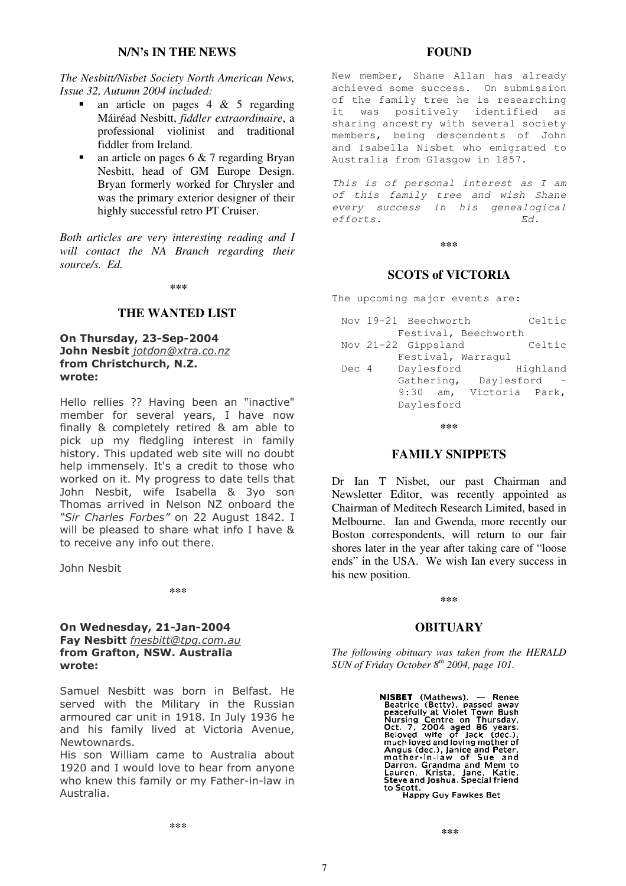## **N/N's IN THE NEWS**

## *The Nesbitt/Nisbet Society North American News, Issue 32, Autumn 2004 included:*

- an article on pages 4 & 5 regarding Máiréad Nesbitt, *fiddler extraordinaire*, a professional violinist and traditional fiddler from Ireland.
- an article on pages 6 & 7 regarding Bryan Nesbitt, head of GM Europe Design. Bryan formerly worked for Chrysler and was the primary exterior designer of their highly successful retro PT Cruiser.

*Both articles are very interesting reading and I will contact the NA Branch regarding their source/s. Ed.*

#### **\*\*\***

## **THE WANTED LIST**

## On Thursday, 23-Sep-2004 John Nesbit <u>jotdon@xtra.co.nz</u> from Christchurch, N.Z. wrote:

Hello rellies ?? Having been an "inactive" member for several years, I have now finally & completely retired & am able to pick up my fledgling interest in family history. This updated web site will no doubt help immensely. It's a credit to those who worked on it. My progress to date tells that John Nesbit, wife Isabella & 3yo son Thomas arrived in Nelson NZ onboard the "Sir Charles Forbes" on 22 August 1842. I will be pleased to share what info I have & to receive any info out there.

John Neshit

**\*\*\***

## On Wednesday, 21-Jan-2004 Fay Nesbitt *fnesbitt@tpg.com.au* from Grafton, NSW. Australia wrote:

Samuel Nesbitt was born in Belfast. He served with the Military in the Russian armoured car unit in 1918. In July 1936 he and his family lived at Victoria Avenue, Newtownards.

His son William came to Australia about 1920 and I would love to hear from anyone who knew this family or my Father-in-law in Australia.

## **FOUND**

New member, Shane Allan has already achieved some success. On submission of the family tree he is researching it was positively identified as sharing ancestry with several society members, being descendents of John and Isabella Nisbet who emigrated to Australia from Glasgow in 1857.

*This is of personal interest as I am of this family tree and wish Shane every success in his genealogical efforts. Ed.*

#### **\*\*\***

## **SCOTS of VICTORIA**

The upcoming major events are:

|       | Nov 19-21 Beechworth |                       | Celtic   |
|-------|----------------------|-----------------------|----------|
|       |                      | Festival, Beechworth  |          |
|       | Nov 21-22 Gippsland  |                       | Celtic   |
|       | Festival, Warraqul   |                       |          |
| Dec 4 |                      |                       |          |
|       | Daylesford           |                       | Highland |
|       |                      | Gathering, Daylesford |          |
|       | $9:30$ am,           | Victoria Park,        |          |
|       | Daylesford           |                       |          |

**\*\*\***

## **FAMILY SNIPPETS**

Dr Ian T Nisbet, our past Chairman and Newsletter Editor, was recently appointed as Chairman of Meditech Research Limited, based in Melbourne. Ian and Gwenda, more recently our Boston correspondents, will return to our fair shores later in the year after taking care of "loose ends" in the USA. We wish Ian every success in his new position.

**\*\*\***

## **OBITUARY**

*The following obituary was taken from the HERALD SUN of Friday October 8 th 2004, page 101.*

> NISBET (Mathews). — Renee<br>Beatrice (Betty), passed away<br>peacefully at Violet Town Bush<br>Nursing Centre on Thursday,<br>Oct. 7, 2004 aged 86 years.<br>Beloved wife of Jack (dec.),<br>much loved and loving mother of Angus (dec.), Janice and Peter,<br>mother-in-law of Sue and<br>Darron. Grandma and Mem to Lauren, Krista, Jane, Katie,<br>Steve and Joshua. Special friend<br>to Scott.<br>Happy Guy Fawkes Bet